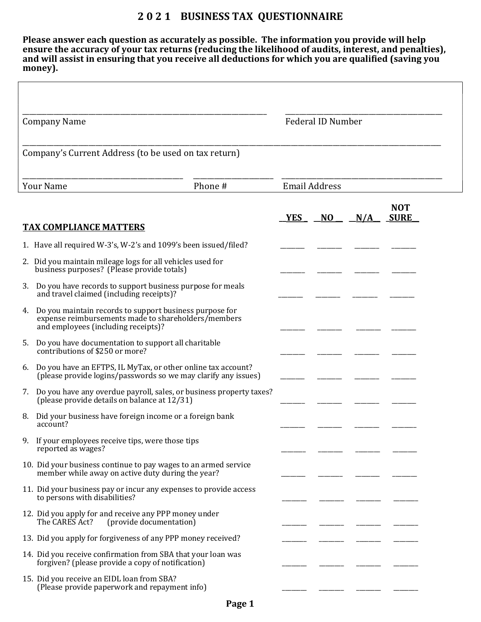## 2 0 2 1 BUSINESS TAX QUESTIONNAIRE

Please answer each question as accurately as possible. The information you provide will help ensure the accuracy of your tax returns (reducing the likelihood of audits, interest, and penalties), and will assist in ensuring that you receive all deductions for which you are qualified (saving you money).

| <b>Company Name</b>         |                                                                                                                                                       |                      | <b>Federal ID Number</b> |                |     |                           |
|-----------------------------|-------------------------------------------------------------------------------------------------------------------------------------------------------|----------------------|--------------------------|----------------|-----|---------------------------|
|                             | Company's Current Address (to be used on tax return)                                                                                                  |                      |                          |                |     |                           |
| <b>Your Name</b><br>Phone # |                                                                                                                                                       | <b>Email Address</b> |                          |                |     |                           |
|                             |                                                                                                                                                       |                      | <b>YES</b>               | N <sub>O</sub> | N/A | <b>NOT</b><br><b>SURE</b> |
|                             | <b>TAX COMPLIANCE MATTERS</b>                                                                                                                         |                      |                          |                |     |                           |
|                             | 1. Have all required W-3's, W-2's and 1099's been issued/filed?                                                                                       |                      |                          |                |     |                           |
|                             | 2. Did you maintain mileage logs for all vehicles used for<br>business purposes? (Please provide totals)                                              |                      |                          |                |     |                           |
| 3.                          | Do you have records to support business purpose for meals<br>and travel claimed (including receipts)?                                                 |                      |                          |                |     |                           |
| 4.                          | Do you maintain records to support business purpose for<br>expense reimbursements made to shareholders/members<br>and employees (including receipts)? |                      |                          |                |     |                           |
| 5.                          | Do you have documentation to support all charitable<br>contributions of \$250 or more?                                                                |                      |                          |                |     |                           |
|                             | 6. Do you have an EFTPS, IL MyTax, or other online tax account?<br>(please provide logins/passwords so we may clarify any issues)                     |                      |                          |                |     |                           |
|                             | 7. Do you have any overdue payroll, sales, or business property taxes?<br>(please provide details on balance at 12/31)                                |                      |                          |                |     |                           |
|                             | 8. Did your business have foreign income or a foreign bank<br>account?                                                                                |                      |                          |                |     |                           |
|                             | 9. If your employees receive tips, were those tips<br>reported as wages?                                                                              |                      |                          |                |     |                           |
|                             | 10. Did your business continue to pay wages to an armed service<br>member while away on active duty during the year?                                  |                      |                          |                |     |                           |
|                             | 11. Did your business pay or incur any expenses to provide access<br>to persons with disabilities?                                                    |                      |                          |                |     |                           |
|                             | 12. Did you apply for and receive any PPP money under<br>(provide documentation)<br>The CARES Act?                                                    |                      |                          |                |     |                           |
|                             | 13. Did you apply for forgiveness of any PPP money received?                                                                                          |                      |                          |                |     |                           |
|                             | 14. Did you receive confirmation from SBA that your loan was<br>forgiven? (please provide a copy of notification)                                     |                      |                          |                |     |                           |
|                             | 15. Did you receive an EIDL loan from SBA?<br>(Please provide paperwork and repayment info)                                                           |                      |                          |                |     |                           |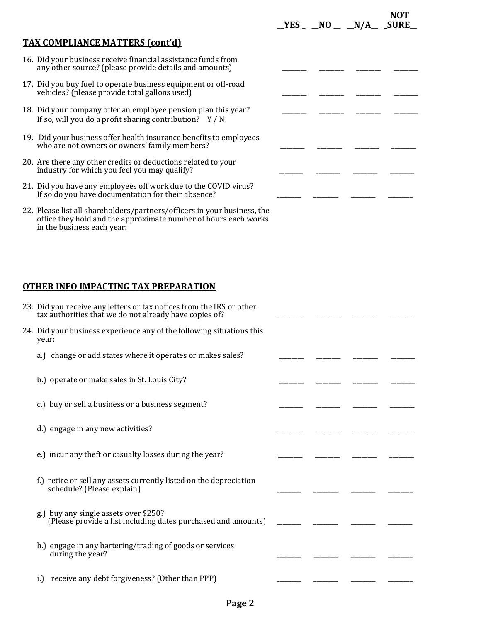|                                                                                                                                             | YES | NO. | N/A | NOT<br><b>SURE</b> |
|---------------------------------------------------------------------------------------------------------------------------------------------|-----|-----|-----|--------------------|
| <b>TAX COMPLIANCE MATTERS (cont'd)</b>                                                                                                      |     |     |     |                    |
| 16. Did your business receive financial assistance funds from<br>any other source? (please provide details and amounts)                     |     |     |     |                    |
| 17. Did you buy fuel to operate business equipment or off-road<br>vehicles? (please provide total gallons used)                             |     |     |     |                    |
| 18. Did your company offer an employee pension plan this year?<br>If so, will you do a profit sharing contribution? $Y/N$                   |     |     |     |                    |
| 19. Did your business offer health insurance benefits to employees<br>who are not owners or owners' family members?                         |     |     |     |                    |
| 20. Are there any other credits or deductions related to your<br>industry for which you feel you may qualify?                               |     |     |     |                    |
| 21. Did you have any employees off work due to the COVID virus?<br>If so do you have documentation for their absence?                       |     |     |     |                    |
| 22. Please list all shareholders/partners/officers in your business, the<br>office they hold and the approximate number of hours each works |     |     |     |                    |

## OTHER INFO IMPACTING TAX PREPARATION

in the business each year:

| 23. Did you receive any letters or tax notices from the IRS or other<br>tax authorities that we do not already have copies of? |  |  |
|--------------------------------------------------------------------------------------------------------------------------------|--|--|
| 24. Did your business experience any of the following situations this<br>year:                                                 |  |  |
| a.) change or add states where it operates or makes sales?                                                                     |  |  |
| b.) operate or make sales in St. Louis City?                                                                                   |  |  |
| c.) buy or sell a business or a business segment?                                                                              |  |  |
| d.) engage in any new activities?                                                                                              |  |  |
| e.) incur any theft or casualty losses during the year?                                                                        |  |  |
| f.) retire or sell any assets currently listed on the depreciation<br>schedule? (Please explain)                               |  |  |
| g.) buy any single assets over \$250?<br>(Please provide a list including dates purchased and amounts)                         |  |  |
| h.) engage in any bartering/trading of goods or services<br>during the year?                                                   |  |  |
| receive any debt forgiveness? (Other than PPP)<br>i.)                                                                          |  |  |